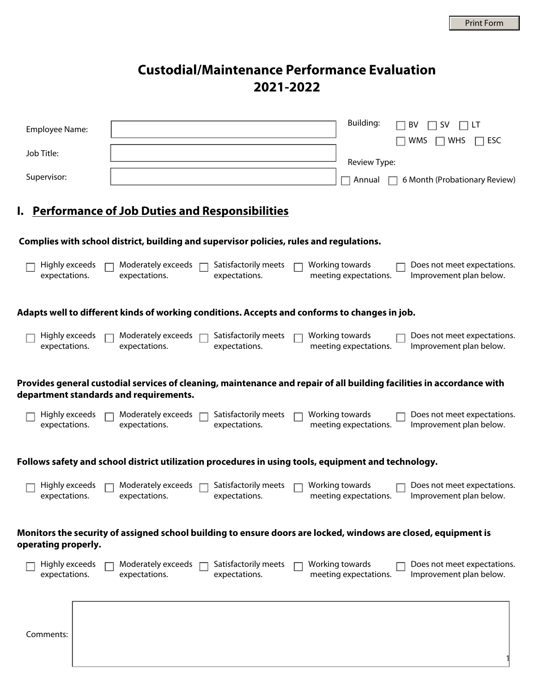# **Custodial/Maintenance Performance Evaluation 2021-2022**

| Employee Name:                  | <b>Building:</b><br>BV<br>5V                                                                                                                                                       |  |  |  |  |
|---------------------------------|------------------------------------------------------------------------------------------------------------------------------------------------------------------------------------|--|--|--|--|
| Job Title:                      | WMS<br>ESC<br><b>WHS</b>                                                                                                                                                           |  |  |  |  |
| Supervisor:                     | Review Type:<br>6 Month (Probationary Review)<br>Annual                                                                                                                            |  |  |  |  |
|                                 | I. Performance of Job Duties and Responsibilities                                                                                                                                  |  |  |  |  |
|                                 | Complies with school district, building and supervisor policies, rules and regulations.                                                                                            |  |  |  |  |
| Highly exceeds<br>expectations. | Moderately exceeds<br>Satisfactorily meets<br>Working towards<br>Does not meet expectations.<br>expectations.<br>expectations.<br>meeting expectations.<br>Improvement plan below. |  |  |  |  |
|                                 | Adapts well to different kinds of working conditions. Accepts and conforms to changes in job.                                                                                      |  |  |  |  |
| Highly exceeds<br>expectations. | Satisfactorily meets<br>Working towards<br>Moderately exceeds<br>Does not meet expectations.<br>expectations.<br>expectations.<br>meeting expectations.<br>Improvement plan below. |  |  |  |  |
|                                 | Provides general custodial services of cleaning, maintenance and repair of all building facilities in accordance with<br>department standards and requirements.                    |  |  |  |  |
| Highly exceeds<br>expectations. | Satisfactorily meets<br>Working towards<br>Does not meet expectations.<br>Moderately exceeds<br>expectations.<br>meeting expectations.<br>Improvement plan below.<br>expectations. |  |  |  |  |
|                                 | Follows safety and school district utilization procedures in using tools, equipment and technology.                                                                                |  |  |  |  |
| Highly exceeds<br>expectations. | Satisfactorily meets<br>Working towards<br>Moderately exceeds<br>Does not meet expectations.<br>expectations.<br>expectations.<br>Improvement plan below.<br>meeting expectations. |  |  |  |  |
| operating properly.             | Monitors the security of assigned school building to ensure doors are locked, windows are closed, equipment is                                                                     |  |  |  |  |
| Highly exceeds<br>expectations. | Satisfactorily meets<br>Moderately exceeds<br>Working towards<br>Does not meet expectations.<br>expectations.<br>expectations.<br>meeting expectations.<br>Improvement plan below. |  |  |  |  |
| Comments:                       |                                                                                                                                                                                    |  |  |  |  |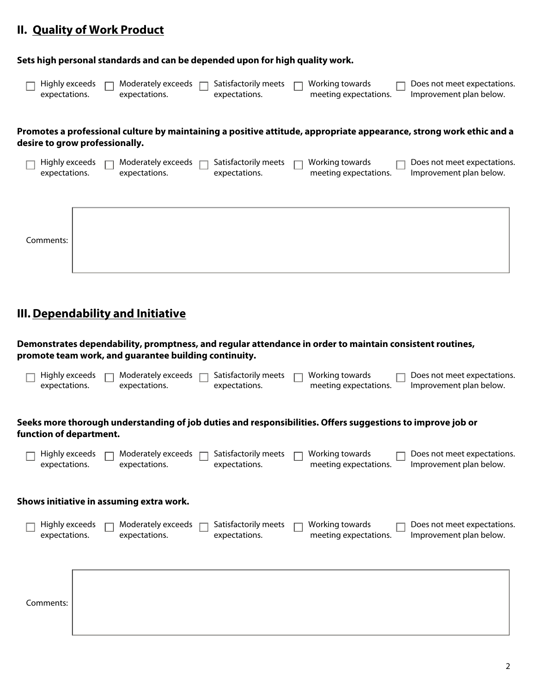### **II.** Quality of Work Product

#### **Sets high personal standards and can be depended upon for high quality work.**

| Highly exceeds | Moderately exceeds | Satisfactorily meets | Working towards       | Does not meet expectations. |
|----------------|--------------------|----------------------|-----------------------|-----------------------------|
| expectations.  | expectations.      | expectations.        | meeting expectations. | Improvement plan below.     |

#### **Promotes a professional culture by maintaining a positive attitude, appropriate appearance, strong work ethic and a desire to grow professionally.**

| Highly exceeds<br>expectations. | Moderately exceeds<br>expectations. | Satisfactorily meets<br>expectations. | Working towards<br>meeting expectations. | Does not meet expectations.<br>Improvement plan below. |
|---------------------------------|-------------------------------------|---------------------------------------|------------------------------------------|--------------------------------------------------------|
|                                 |                                     |                                       |                                          |                                                        |
| Comments:                       |                                     |                                       |                                          |                                                        |

## **III.Dependability and Initiative**

**Demonstrates dependability, promptness, and regular attendance in order to maintain consistent routines, promote team work, and guarantee building continuity.**

| Moderately exceeds<br>Satisfactorily meets<br>Highly exceeds<br>Working towards<br>Does not meet expectations.<br>Improvement plan below.<br>meeting expectations.<br>expectations.<br>expectations.<br>expectations. |
|-----------------------------------------------------------------------------------------------------------------------------------------------------------------------------------------------------------------------|
| Seeks more thorough understanding of job duties and responsibilities. Offers suggestions to improve job or<br>function of department.                                                                                 |
| Working towards<br>Moderately exceeds<br>Satisfactorily meets<br>Highly exceeds<br>Does not meet expectations.<br>meeting expectations.<br>Improvement plan below.<br>expectations.<br>expectations.<br>expectations. |
| Shows initiative in assuming extra work.                                                                                                                                                                              |
| Satisfactorily meets<br>Working towards<br>Highly exceeds<br>Moderately exceeds<br>Does not meet expectations.<br>meeting expectations.<br>Improvement plan below.<br>expectations.<br>expectations.<br>expectations. |
| Comments:                                                                                                                                                                                                             |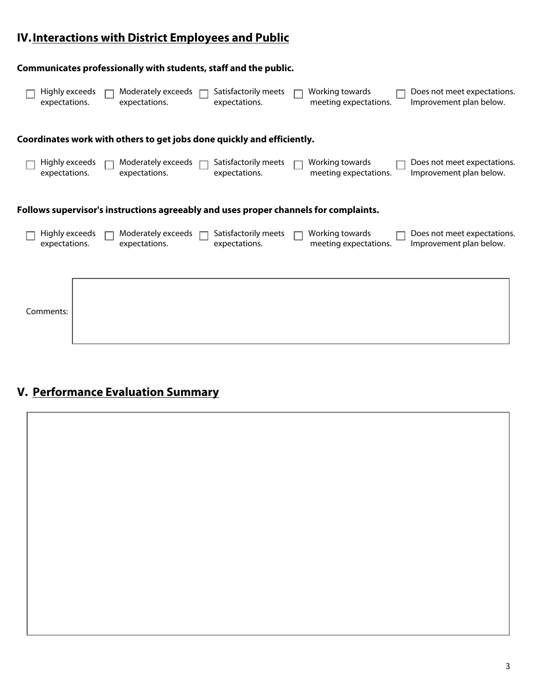## **Interactions with District Employees and Public IV.**

|                                 | Communicates professionally with students, staff and the public.                     |                                       |                                          |                                                        |
|---------------------------------|--------------------------------------------------------------------------------------|---------------------------------------|------------------------------------------|--------------------------------------------------------|
| Highly exceeds<br>expectations. | Moderately exceeds<br>expectations.                                                  | Satisfactorily meets<br>expectations. | Working towards<br>meeting expectations. | Does not meet expectations.<br>Improvement plan below. |
|                                 | Coordinates work with others to get jobs done quickly and efficiently.               |                                       |                                          |                                                        |
| Highly exceeds<br>expectations. | Moderately exceeds<br>expectations.                                                  | Satisfactorily meets<br>expectations. | Working towards<br>meeting expectations. | Does not meet expectations.<br>Improvement plan below. |
|                                 | Follows supervisor's instructions agreeably and uses proper channels for complaints. |                                       |                                          |                                                        |
| Highly exceeds<br>expectations. | Moderately exceeds<br>expectations.                                                  | Satisfactorily meets<br>expectations. | Working towards<br>meeting expectations. | Does not meet expectations.<br>Improvement plan below. |
| Comments:                       |                                                                                      |                                       |                                          |                                                        |

# **V. Performance Evaluation Summary**